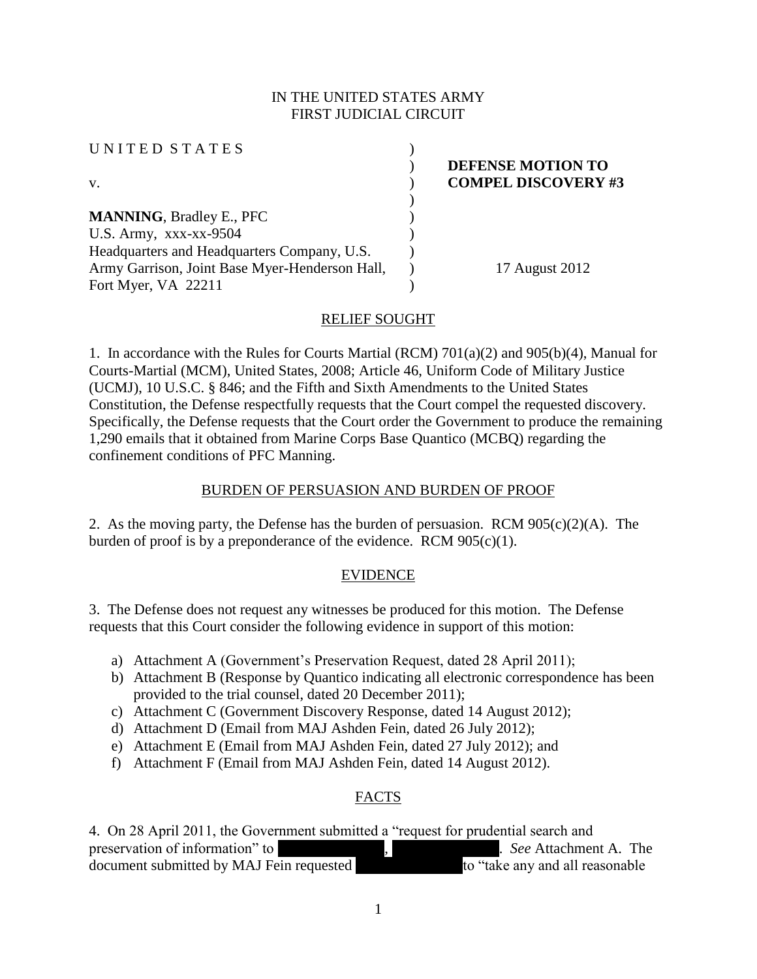# IN THE UNITED STATES ARMY FIRST JUDICIAL CIRCUIT

| UNITED STATES                                  |                            |
|------------------------------------------------|----------------------------|
|                                                | DEFENSE MOTION TO          |
| V.                                             | <b>COMPEL DISCOVERY #3</b> |
|                                                |                            |
| <b>MANNING, Bradley E., PFC</b>                |                            |
| U.S. Army, $xxxx-xx-9504$                      |                            |
| Headquarters and Headquarters Company, U.S.    |                            |
| Army Garrison, Joint Base Myer-Henderson Hall, | 17 August 2012             |
| Fort Myer, VA 22211                            |                            |

### RELIEF SOUGHT

1. In accordance with the Rules for Courts Martial (RCM) 701(a)(2) and 905(b)(4), Manual for Courts-Martial (MCM), United States, 2008; Article 46, Uniform Code of Military Justice (UCMJ), 10 U.S.C. § 846; and the Fifth and Sixth Amendments to the United States Constitution, the Defense respectfully requests that the Court compel the requested discovery. Specifically, the Defense requests that the Court order the Government to produce the remaining 1,290 emails that it obtained from Marine Corps Base Quantico (MCBQ) regarding the confinement conditions of PFC Manning.

### BURDEN OF PERSUASION AND BURDEN OF PROOF

2. As the moving party, the Defense has the burden of persuasion. RCM 905(c)(2)(A). The burden of proof is by a preponderance of the evidence. RCM  $905(c)(1)$ .

### EVIDENCE

3. The Defense does not request any witnesses be produced for this motion. The Defense requests that this Court consider the following evidence in support of this motion:

- a) Attachment A (Government's Preservation Request, dated 28 April 2011);
- b) Attachment B (Response by Quantico indicating all electronic correspondence has been provided to the trial counsel, dated 20 December 2011);
- c) Attachment C (Government Discovery Response, dated 14 August 2012);
- d) Attachment D (Email from MAJ Ashden Fein, dated 26 July 2012);
- e) Attachment E (Email from MAJ Ashden Fein, dated 27 July 2012); and
- f) Attachment F (Email from MAJ Ashden Fein, dated 14 August 2012).

# FACTS

4. On 28 April 2011, the Government submitted a "request for prudential search and preservation of information" to **\*\*\***<br>document submitted by MAJ Fein requested  $\begin{array}{c} \text{for } \\ \text{for } \\ \text{for } \\ \text{for } \\ \text{for } \\ \text{for } \\ \text{for } \\ \text{for } \\ \text{for } \\ \text{for } \\ \text{for } \\ \text{for } \\ \text{for } \\ \text{for } \\ \text{for } \\ \text{for } \\ \text{for } \\ \text{for } \\ \text{for } \\ \text{for } \\ \text{for } \\ \text{for } \\ \text{$ document submitted by MAJ Fein requested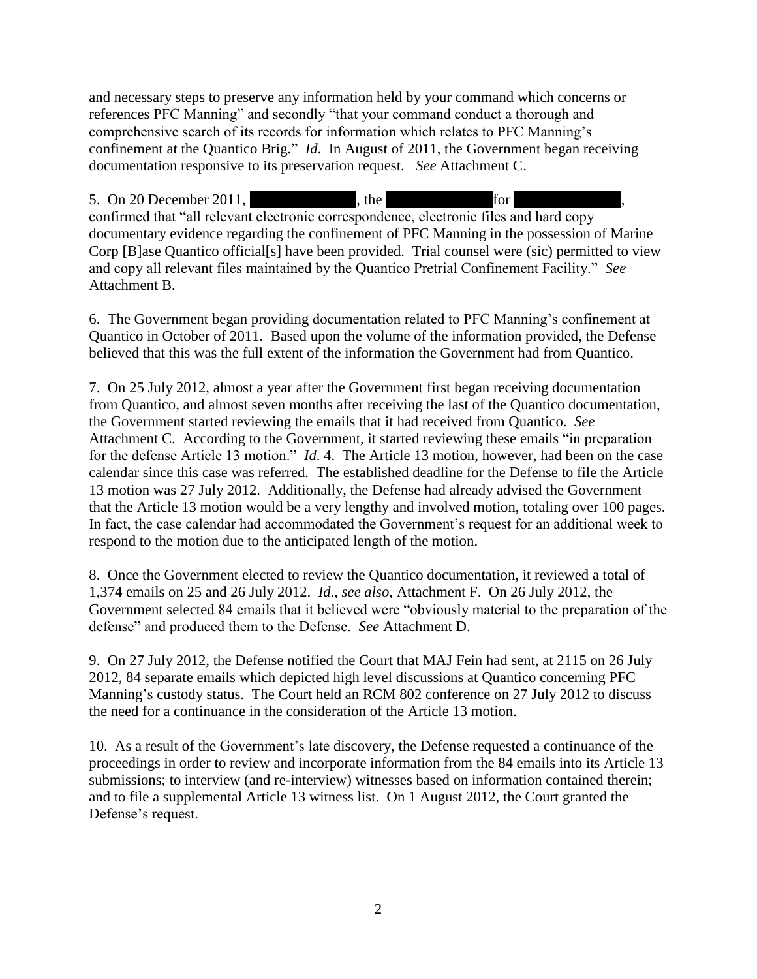and necessary steps to preserve any information held by your command which concerns or references PFC Manning" and secondly "that your command conduct a thorough and comprehensive search of its records for information which relates to PFC Manning's confinement at the Quantico Brig." *Id*. In August of 2011, the Government began receiving documentation responsive to its preservation request. *See* Attachment C.

5. On 20 December 2011,  $\qquad \qquad$ , the  $\qquad \qquad$  for confirmed that "all relevant electronic correspondence, electronic files and hard copy documentary evidence regarding the confinement of PFC Manning in the possession of Marine Corp [B]ase Quantico official[s] have been provided. Trial counsel were (sic) permitted to view and copy all relevant files maintained by the Quantico Pretrial Confinement Facility." *See*  Attachment B.

6. The Government began providing documentation related to PFC Manning's confinement at Quantico in October of 2011. Based upon the volume of the information provided, the Defense believed that this was the full extent of the information the Government had from Quantico.

7. On 25 July 2012, almost a year after the Government first began receiving documentation from Quantico, and almost seven months after receiving the last of the Quantico documentation, the Government started reviewing the emails that it had received from Quantico. *See*  Attachment C. According to the Government, it started reviewing these emails "in preparation for the defense Article 13 motion." *Id*. 4. The Article 13 motion, however, had been on the case calendar since this case was referred. The established deadline for the Defense to file the Article 13 motion was 27 July 2012. Additionally, the Defense had already advised the Government that the Article 13 motion would be a very lengthy and involved motion, totaling over 100 pages. In fact, the case calendar had accommodated the Government's request for an additional week to respond to the motion due to the anticipated length of the motion.

8. Once the Government elected to review the Quantico documentation, it reviewed a total of 1,374 emails on 25 and 26 July 2012. *Id*., *see also*, Attachment F. On 26 July 2012, the Government selected 84 emails that it believed were "obviously material to the preparation of the defense" and produced them to the Defense. *See* Attachment D.

9. On 27 July 2012, the Defense notified the Court that MAJ Fein had sent, at 2115 on 26 July 2012, 84 separate emails which depicted high level discussions at Quantico concerning PFC Manning's custody status. The Court held an RCM 802 conference on 27 July 2012 to discuss the need for a continuance in the consideration of the Article 13 motion.

10. As a result of the Government's late discovery, the Defense requested a continuance of the proceedings in order to review and incorporate information from the 84 emails into its Article 13 submissions; to interview (and re-interview) witnesses based on information contained therein; and to file a supplemental Article 13 witness list. On 1 August 2012, the Court granted the Defense's request.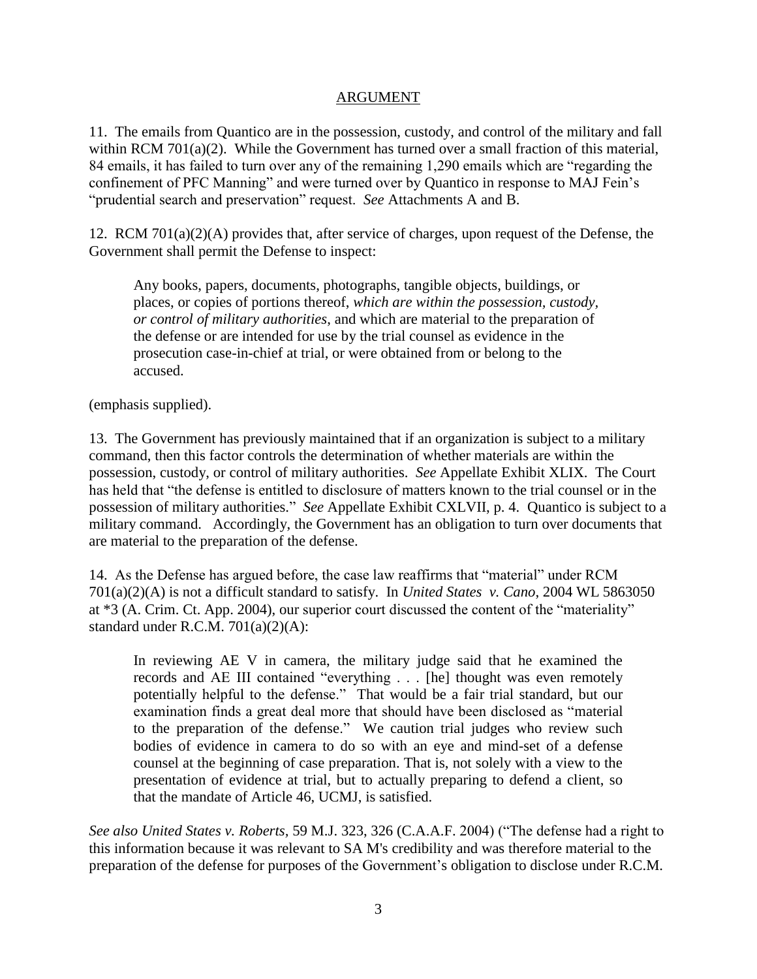### ARGUMENT

11. The emails from Quantico are in the possession, custody, and control of the military and fall within RCM 701(a)(2). While the Government has turned over a small fraction of this material, 84 emails, it has failed to turn over any of the remaining 1,290 emails which are "regarding the confinement of PFC Manning" and were turned over by Quantico in response to MAJ Fein's "prudential search and preservation" request. *See* Attachments A and B.

12. RCM 701(a)(2)(A) provides that, after service of charges, upon request of the Defense, the Government shall permit the Defense to inspect:

Any books, papers, documents, photographs, tangible objects, buildings, or places, or copies of portions thereof, *which are within the possession, custody, or control of military authorities*, and which are material to the preparation of the defense or are intended for use by the trial counsel as evidence in the prosecution case-in-chief at trial, or were obtained from or belong to the accused.

(emphasis supplied).

13. The Government has previously maintained that if an organization is subject to a military command, then this factor controls the determination of whether materials are within the possession, custody, or control of military authorities. *See* Appellate Exhibit XLIX. The Court has held that "the defense is entitled to disclosure of matters known to the trial counsel or in the possession of military authorities." *See* Appellate Exhibit CXLVII, p. 4. Quantico is subject to a military command. Accordingly, the Government has an obligation to turn over documents that are material to the preparation of the defense.

14. As the Defense has argued before, the case law reaffirms that "material" under RCM 701(a)(2)(A) is not a difficult standard to satisfy. In *United States v. Cano*, 2004 WL 5863050 at \*3 (A. Crim. Ct. App. 2004), our superior court discussed the content of the "materiality" standard under R.C.M. 701(a)(2)(A):

In reviewing AE V in camera, the military judge said that he examined the records and AE III contained "everything . . . [he] thought was even remotely potentially helpful to the defense." That would be a fair trial standard, but our examination finds a great deal more that should have been disclosed as "material to the preparation of the defense." We caution trial judges who review such bodies of evidence in camera to do so with an eye and mind-set of a defense counsel at the beginning of case preparation. That is, not solely with a view to the presentation of evidence at trial, but to actually preparing to defend a client, so that the mandate of Article 46, UCMJ, is satisfied.

*See also United States v. Roberts,* 59 M.J. 323, 326 (C.A.A.F. 2004) ("The defense had a right to this information because it was relevant to SA M's credibility and was therefore material to the preparation of the defense for purposes of the Government's obligation to disclose under R.C.M.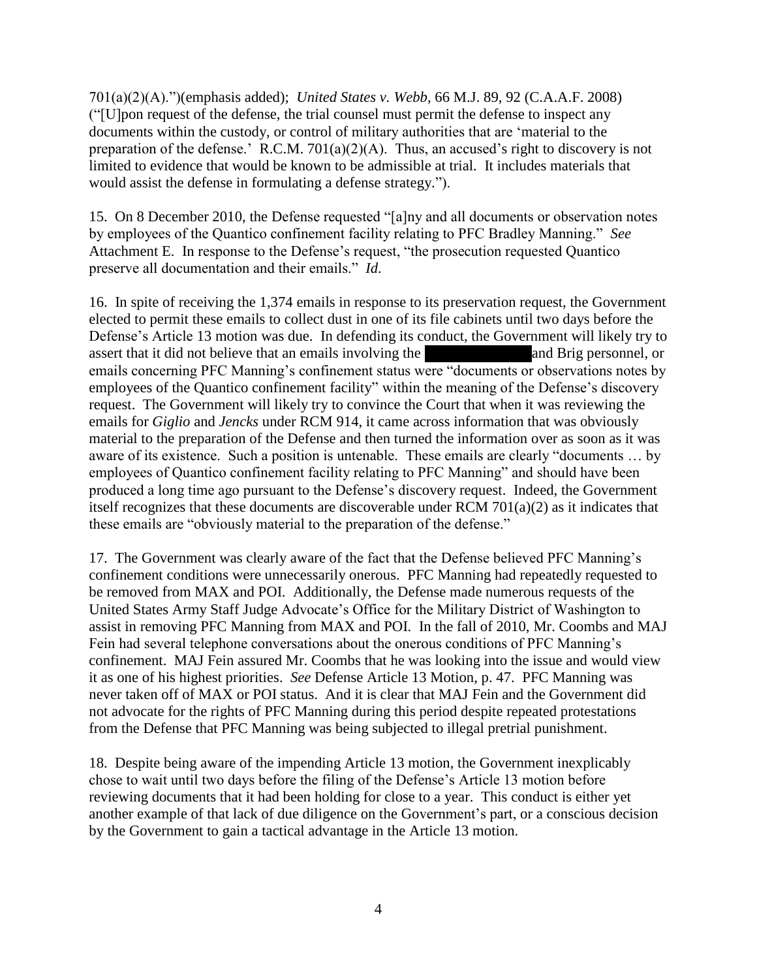701(a)(2)(A).")(emphasis added); *United States v. Webb,* 66 M.J. 89, 92 (C.A.A.F. 2008) ("[U]pon request of the defense, the trial counsel must permit the defense to inspect any documents within the custody, or control of military authorities that are 'material to the preparation of the defense.' R.C.M. 701(a)(2)(A). Thus, an accused's right to discovery is not limited to evidence that would be known to be admissible at trial. It includes materials that would assist the defense in formulating a defense strategy.").

15. On 8 December 2010, the Defense requested "[a]ny and all documents or observation notes by employees of the Quantico confinement facility relating to PFC Bradley Manning." *See*  Attachment E. In response to the Defense's request, "the prosecution requested Quantico preserve all documentation and their emails." *Id*.

16. In spite of receiving the 1,374 emails in response to its preservation request, the Government elected to permit these emails to collect dust in one of its file cabinets until two days before the Defense's Article 13 motion was due. In defending its conduct, the Government will likely try to assert that it did not believe that an emails involving the \*\*\*Redacted\*\*\*\*and Brig personnel, or emails concerning PFC Manning's confinement status were "documents or observations notes by employees of the Quantico confinement facility" within the meaning of the Defense's discovery request. The Government will likely try to convince the Court that when it was reviewing the emails for *Giglio* and *Jencks* under RCM 914, it came across information that was obviously material to the preparation of the Defense and then turned the information over as soon as it was aware of its existence. Such a position is untenable. These emails are clearly "documents … by employees of Quantico confinement facility relating to PFC Manning" and should have been produced a long time ago pursuant to the Defense's discovery request. Indeed, the Government itself recognizes that these documents are discoverable under RCM 701(a)(2) as it indicates that these emails are "obviously material to the preparation of the defense."

17. The Government was clearly aware of the fact that the Defense believed PFC Manning's confinement conditions were unnecessarily onerous. PFC Manning had repeatedly requested to be removed from MAX and POI. Additionally, the Defense made numerous requests of the United States Army Staff Judge Advocate's Office for the Military District of Washington to assist in removing PFC Manning from MAX and POI. In the fall of 2010, Mr. Coombs and MAJ Fein had several telephone conversations about the onerous conditions of PFC Manning's confinement. MAJ Fein assured Mr. Coombs that he was looking into the issue and would view it as one of his highest priorities. *See* Defense Article 13 Motion, p. 47. PFC Manning was never taken off of MAX or POI status. And it is clear that MAJ Fein and the Government did not advocate for the rights of PFC Manning during this period despite repeated protestations from the Defense that PFC Manning was being subjected to illegal pretrial punishment.

18. Despite being aware of the impending Article 13 motion, the Government inexplicably chose to wait until two days before the filing of the Defense's Article 13 motion before reviewing documents that it had been holding for close to a year. This conduct is either yet another example of that lack of due diligence on the Government's part, or a conscious decision by the Government to gain a tactical advantage in the Article 13 motion.